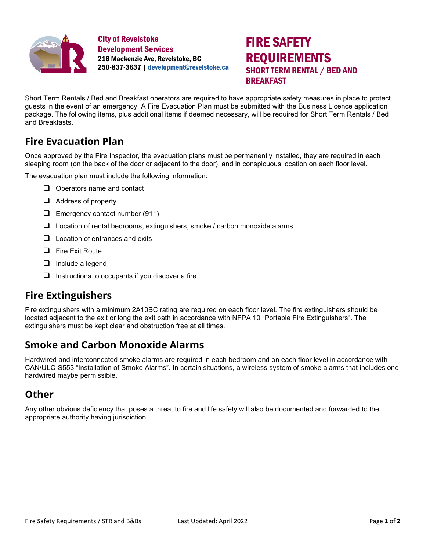

City of Revelstoke Development Services 216 Mackenzie Ave, Revelstoke, BC 250-837-3637 [| development@revelstoke.ca](mailto:development@revelstoke.ca)



Short Term Rentals / Bed and Breakfast operators are required to have appropriate safety measures in place to protect guests in the event of an emergency. A Fire Evacuation Plan must be submitted with the Business Licence application package. The following items, plus additional items if deemed necessary, will be required for Short Term Rentals / Bed and Breakfasts.

# **Fire Evacuation Plan**

Once approved by the Fire Inspector, the evacuation plans must be permanently installed, they are required in each sleeping room (on the back of the door or adjacent to the door), and in conspicuous location on each floor level.

The evacuation plan must include the following information:

- $\Box$  Operators name and contact
- $\Box$  Address of property
- $\Box$  Emergency contact number (911)
- $\Box$  Location of rental bedrooms, extinguishers, smoke / carbon monoxide alarms
- $\Box$  Location of entrances and exits
- $\Box$  Fire Exit Route
- $\Box$  Include a legend
- $\Box$  Instructions to occupants if you discover a fire

### **Fire Extinguishers**

Fire extinguishers with a minimum 2A10BC rating are required on each floor level. The fire extinguishers should be located adjacent to the exit or long the exit path in accordance with NFPA 10 "Portable Fire Extinguishers". The extinguishers must be kept clear and obstruction free at all times.

### **Smoke and Carbon Monoxide Alarms**

Hardwired and interconnected smoke alarms are required in each bedroom and on each floor level in accordance with CAN/ULC-S553 "Installation of Smoke Alarms". In certain situations, a wireless system of smoke alarms that includes one hardwired maybe permissible.

### **Other**

Any other obvious deficiency that poses a threat to fire and life safety will also be documented and forwarded to the appropriate authority having jurisdiction.